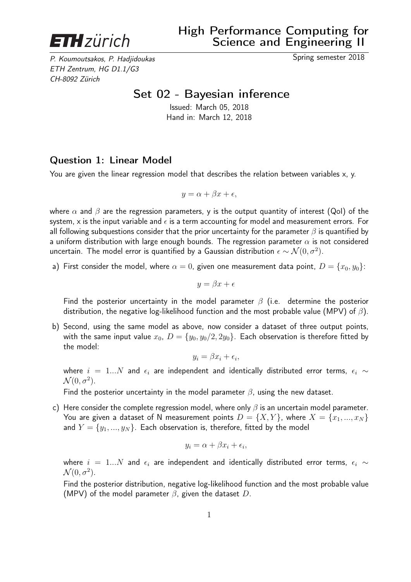

P. Koumoutsakos, P. Hadjidoukas Spring semester 2018 ETH Zentrum, HG D1.1/G3 CH-8092 Zürich

## Set 02 - Bayesian inference

Issued: March 05, 2018 Hand in: March 12, 2018

## Question 1: Linear Model

You are given the linear regression model that describes the relation between variables x, y.

$$
y = \alpha + \beta x + \epsilon,
$$

where  $\alpha$  and  $\beta$  are the regression parameters, y is the output quantity of interest (QoI) of the system, x is the input variable and  $\epsilon$  is a term accounting for model and measurement errors. For all following subquestions consider that the prior uncertainty for the parameter  $\beta$  is quantified by a uniform distribution with large enough bounds. The regression parameter  $\alpha$  is not considered uncertain. The model error is quantified by a Gaussian distribution  $\epsilon \sim \mathcal{N}(0, \sigma^2)$ .

a) First consider the model, where  $\alpha = 0$ , given one measurement data point,  $D = \{x_0, y_0\}$ :

$$
y = \beta x + \epsilon
$$

Find the posterior uncertainty in the model parameter  $\beta$  (i.e. determine the posterior distribution, the negative log-likelihood function and the most probable value (MPV) of  $\beta$ ).

b) Second, using the same model as above, now consider a dataset of three output points, with the same input value  $x_0$ ,  $D = \{y_0, y_0/2, 2y_0\}$ . Each observation is therefore fitted by the model:

$$
y_i = \beta x_i + \epsilon_i,
$$

where  $i = 1...N$  and  $\epsilon_i$  are independent and identically distributed error terms,  $\epsilon_i \sim$  $\mathcal{N}(0, \sigma^2)$ .

Find the posterior uncertainty in the model parameter  $\beta$ , using the new dataset.

c) Here consider the complete regression model, where only  $\beta$  is an uncertain model parameter. You are given a dataset of N measurement points  $D = \{X, Y\}$ , where  $X = \{x_1, ..., x_N\}$ and  $Y = \{y_1, ..., y_N\}$ . Each observation is, therefore, fitted by the model

$$
y_i = \alpha + \beta x_i + \epsilon_i,
$$

where  $i = 1...N$  and  $\epsilon_i$  are independent and identically distributed error terms,  $\epsilon_i \sim$  $\mathcal{N}(0, \sigma^2)$ .

Find the posterior distribution, negative log-likelihood function and the most probable value (MPV) of the model parameter  $\beta$ , given the dataset D.